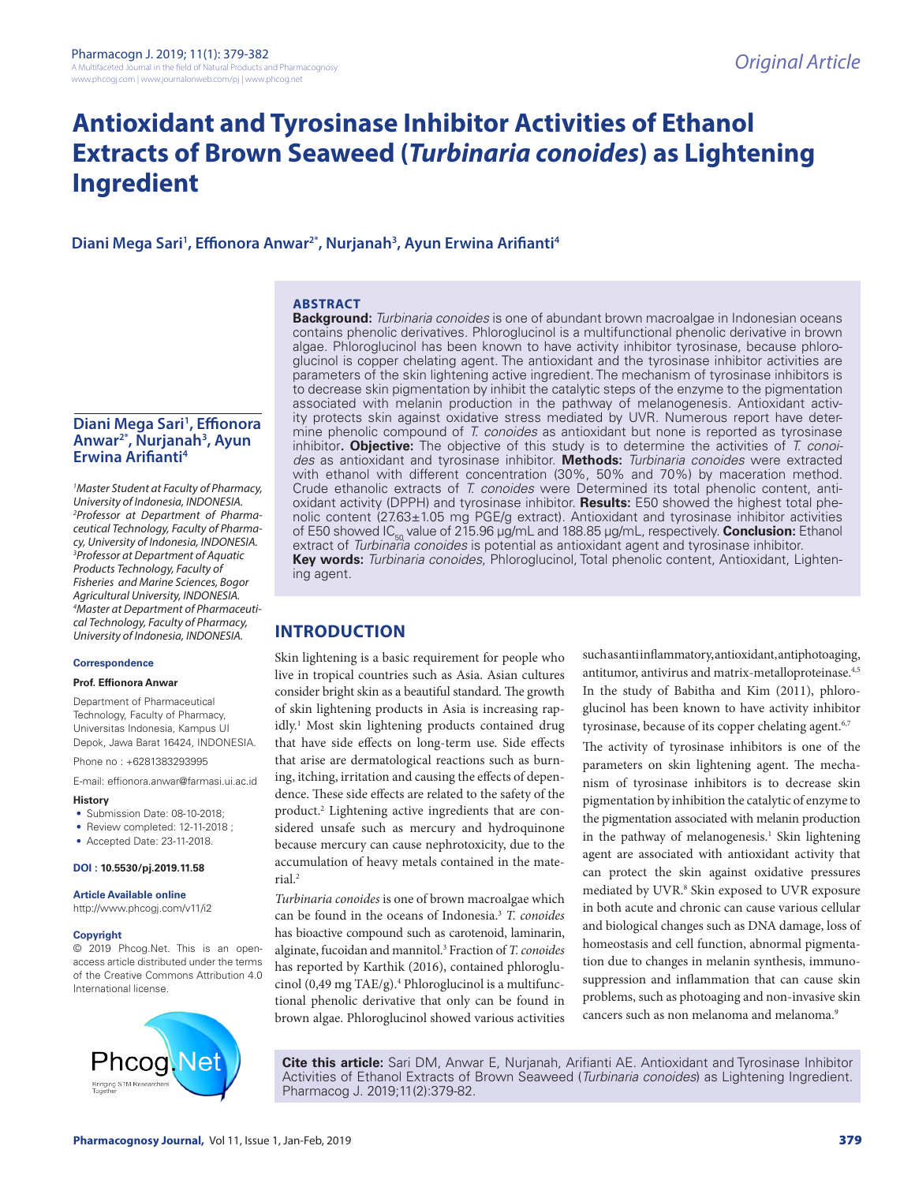# **Antioxidant and Tyrosinase Inhibitor Activities of Ethanol Extracts of Brown Seaweed (***Turbinaria conoides***) as Lightening Ingredient**

Diani Mega Sari<sup>1</sup>, Effionora Anwar<sup>2\*</sup>, Nurjanah<sup>3</sup>, Ayun Erwina Arifianti<sup>4</sup>

# **ABSTRACT**

**Diani Mega Sari1 , Effionora Anwar2\*, Nurjanah3 , Ayun Erwina Arifianti4**

*1 Master Student at Faculty of Pharmacy, University of Indonesia, INDONESIA. 2 Professor at Department of Pharmaceutical Technology, Faculty of Pharmacy, University of Indonesia, INDONESIA. 3 Professor at Department of Aquatic Products Technology, Faculty of Fisheries and Marine Sciences, Bogor Agricultural University, INDONESIA. 4 Master at Department of Pharmaceutical Technology, Faculty of Pharmacy, University of Indonesia, INDONESIA.* 

### **Correspondence**

#### **Prof. Effionora Anwar**

Department of Pharmaceutical Technology, Faculty of Pharmacy, Universitas Indonesia, Kampus UI Depok, Jawa Barat 16424, INDONESIA.

Phone no : +6281383293995

E-mail: effionora.anwar@farmasi.ui.ac.id

#### **History**

- Submission Date: 08-10-2018:
- Review completed: 12-11-2018 ;
- Accepted Date: 23-11-2018.

#### **DOI : 10.5530/pj.2019.11.58**

#### **Article Available online**

http://www.phcogj.com/v11/i2

#### **Copyright**

© 2019 Phcog.Net. This is an openaccess article distributed under the terms of the Creative Commons Attribution 4.0 International license.



**Background:** *Turbinaria conoides* is one of abundant brown macroalgae in Indonesian oceans contains phenolic derivatives. Phloroglucinol is a multifunctional phenolic derivative in brown algae. Phloroglucinol has been known to have activity inhibitor tyrosinase, because phloroglucinol is copper chelating agent. The antioxidant and the tyrosinase inhibitor activities are parameters of the skin lightening active ingredient. The mechanism of tyrosinase inhibitors is to decrease skin pigmentation by inhibit the catalytic steps of the enzyme to the pigmentation associated with melanin production in the pathway of melanogenesis. Antioxidant activity protects skin against oxidative stress mediated by UVR. Numerous report have determine phenolic compound of *T. conoides* as antioxidant but none is reported as tyrosinase inhibitor**. Objective:** The objective of this study is to determine the activities of *T. conoides* as antioxidant and tyrosinase inhibitor. **Methods:** *Turbinaria conoides* were extracted with ethanol with different concentration (30%, 50% and 70%) by maceration method. Crude ethanolic extracts of *T. conoides* were Determined its total phenolic content, antioxidant activity (DPPH) and tyrosinase inhibitor. **Results:** E50 showed the highest total phenolic content (27.63±1.05 mg PGE/g extract). Antioxidant and tyrosinase inhibitor activities of E50 showed IC<sub>50</sub> value of 215.96 µg/mL and 188.85 µg/mL, respectively. **Conclusion:** Ethanol extract of *Turbinaria conoides* is potential as antioxidant agent and tyrosinase inhibitor. **Key words:** *Turbinaria conoides*, Phloroglucinol, Total phenolic content, Antioxidant, Lightening agent.

# **INTRODUCTION**

Skin lightening is a basic requirement for people who live in tropical countries such as Asia. Asian cultures consider bright skin as a beautiful standard. The growth of skin lightening products in Asia is increasing rapidly.<sup>1</sup> Most skin lightening products contained drug that have side effects on long-term use. Side effects that arise are dermatological reactions such as burning, itching, irritation and causing the effects of dependence. These side effects are related to the safety of the product.2 Lightening active ingredients that are considered unsafe such as mercury and hydroquinone because mercury can cause nephrotoxicity, due to the accumulation of heavy metals contained in the material.2

*Turbinaria conoides* is one of brown macroalgae which can be found in the oceans of Indonesia.3 *T. conoides* has bioactive compound such as carotenoid, laminarin, alginate, fucoidan and mannitol.3 Fraction of *T. conoides*  has reported by Karthik (2016), contained phloroglucinol (0,49 mg TAE/g).<sup>4</sup> Phloroglucinol is a multifunctional phenolic derivative that only can be found in brown algae. Phloroglucinol showed various activities

such as anti inflammatory, antioxidant, antiphotoaging, antitumor, antivirus and matrix-metalloproteinase.<sup>4,5</sup> In the study of Babitha and Kim (2011), phloroglucinol has been known to have activity inhibitor tyrosinase, because of its copper chelating agent.<sup>6,7</sup>

The activity of tyrosinase inhibitors is one of the parameters on skin lightening agent. The mechanism of tyrosinase inhibitors is to decrease skin pigmentation by inhibition the catalytic of enzyme to the pigmentation associated with melanin production in the pathway of melanogenesis.<sup>1</sup> Skin lightening agent are associated with antioxidant activity that can protect the skin against oxidative pressures mediated by UVR.<sup>8</sup> Skin exposed to UVR exposure in both acute and chronic can cause various cellular and biological changes such as DNA damage, loss of homeostasis and cell function, abnormal pigmentation due to changes in melanin synthesis, immunosuppression and inflammation that can cause skin problems, such as photoaging and non-invasive skin cancers such as non melanoma and melanoma.<sup>9</sup>

**Cite this article:** Sari DM, Anwar E, Nurjanah, Arifianti AE. Antioxidant and Tyrosinase Inhibitor Activities of Ethanol Extracts of Brown Seaweed (*Turbinaria conoides*) as Lightening Ingredient. Pharmacog J. 2019;11(2):379-82.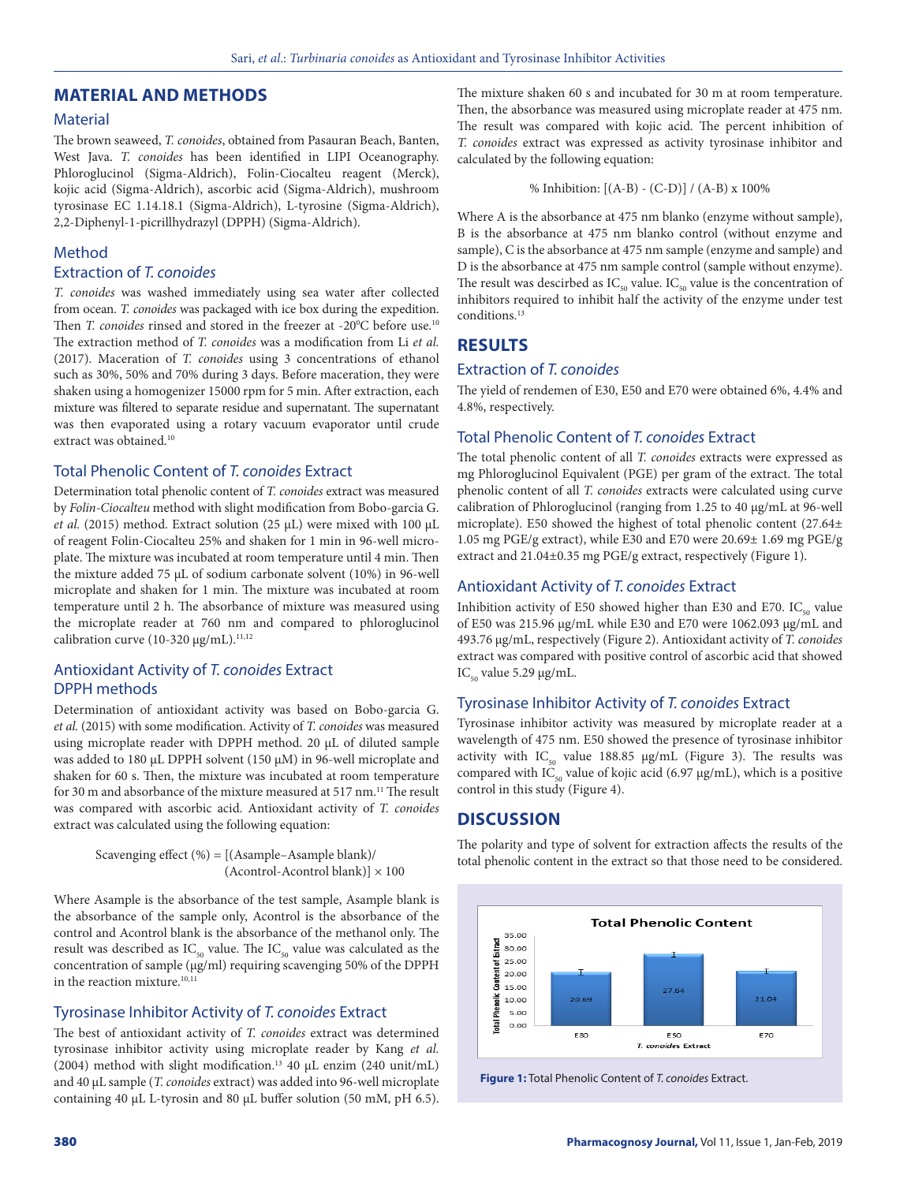# **MATERIAL AND METHODS**

# Material

The brown seaweed, *T. conoides*, obtained from Pasauran Beach, Banten, West Java. *T. conoides* has been identified in LIPI Oceanography. Phloroglucinol (Sigma-Aldrich), Folin-Ciocalteu reagent (Merck), kojic acid (Sigma-Aldrich), ascorbic acid (Sigma-Aldrich), mushroom tyrosinase EC 1.14.18.1 (Sigma-Aldrich), L-tyrosine (Sigma-Aldrich), 2,2-Diphenyl-1-picrillhydrazyl (DPPH) (Sigma-Aldrich).

# Method

# Extraction of *T. conoides*

*T. conoides* was washed immediately using sea water after collected from ocean. *T. conoides* was packaged with ice box during the expedition. Then *T. conoides* rinsed and stored in the freezer at -20<sup>o</sup>C before use.<sup>10</sup> The extraction method of *T. conoides* was a modification from Li *et al.* (2017). Maceration of *T. conoides* using 3 concentrations of ethanol such as 30%, 50% and 70% during 3 days. Before maceration, they were shaken using a homogenizer 15000 rpm for 5 min. After extraction, each mixture was filtered to separate residue and supernatant. The supernatant was then evaporated using a rotary vacuum evaporator until crude extract was obtained.<sup>10</sup>

# Total Phenolic Content of *T. conoides* Extract

Determination total phenolic content of *T. conoides* extract was measured by *Folin-Ciocalteu* method with slight modification from Bobo-garcia G. *et al.* (2015) method. Extract solution (25 µL) were mixed with 100 µL of reagent Folin-Ciocalteu 25% and shaken for 1 min in 96-well microplate. The mixture was incubated at room temperature until 4 min. Then the mixture added 75 µL of sodium carbonate solvent (10%) in 96-well microplate and shaken for 1 min. The mixture was incubated at room temperature until 2 h. The absorbance of mixture was measured using the microplate reader at 760 nm and compared to phloroglucinol calibration curve (10-320  $\mu$ g/mL).<sup>11,12</sup>

# Antioxidant Activity of *T. conoides* Extract DPPH methods

Determination of antioxidant activity was based on Bobo-garcia G. *et al.* (2015) with some modification. Activity of *T. conoides* was measured using microplate reader with DPPH method. 20 µL of diluted sample was added to 180 µL DPPH solvent (150 µM) in 96-well microplate and shaken for 60 s. Then, the mixture was incubated at room temperature for 30 m and absorbance of the mixture measured at 517 nm.<sup>11</sup> The result was compared with ascorbic acid. Antioxidant activity of *T. conoides* extract was calculated using the following equation:

> Scavenging effect (%) = [(Asample–Asample blank)/  $(Acontrol$ -Acontrol blank)]  $\times$  100

Where Asample is the absorbance of the test sample, Asample blank is the absorbance of the sample only, Acontrol is the absorbance of the control and Acontrol blank is the absorbance of the methanol only. The result was described as  $IC_{50}$  value. The  $IC_{50}$  value was calculated as the concentration of sample (µg/ml) requiring scavenging 50% of the DPPH in the reaction mixture. $10,11$ 

## Tyrosinase Inhibitor Activity of *T. conoides* Extract

The best of antioxidant activity of *T. conoides* extract was determined tyrosinase inhibitor activity using microplate reader by Kang *et al.* (2004) method with slight modification.13 40 µL enzim (240 unit/mL) and 40 µL sample (*T. conoides* extract) was added into 96-well microplate containing 40 µL L-tyrosin and 80 µL buffer solution (50 mM, pH 6.5). The mixture shaken 60 s and incubated for 30 m at room temperature. Then, the absorbance was measured using microplate reader at 475 nm. The result was compared with kojic acid. The percent inhibition of *T. conoides* extract was expressed as activity tyrosinase inhibitor and calculated by the following equation:

% Inhibition: [(A-B) - (C-D)] / (A-B) x 100%

Where A is the absorbance at 475 nm blanko (enzyme without sample), B is the absorbance at 475 nm blanko control (without enzyme and sample), C is the absorbance at 475 nm sample (enzyme and sample) and D is the absorbance at 475 nm sample control (sample without enzyme). The result was descirbed as  $IC_{50}$  value.  $IC_{50}$  value is the concentration of inhibitors required to inhibit half the activity of the enzyme under test conditions.13

# **RESULTS**

# Extraction of *T. conoides*

The yield of rendemen of E30, E50 and E70 were obtained 6%, 4.4% and 4.8%, respectively.

# Total Phenolic Content of *T. conoides* Extract

The total phenolic content of all *T. conoides* extracts were expressed as mg Phloroglucinol Equivalent (PGE) per gram of the extract. The total phenolic content of all *T. conoides* extracts were calculated using curve calibration of Phloroglucinol (ranging from 1.25 to 40 µg/mL at 96-well microplate). E50 showed the highest of total phenolic content (27.64± 1.05 mg PGE/g extract), while E30 and E70 were 20.69± 1.69 mg PGE/g extract and 21.04±0.35 mg PGE/g extract, respectively (Figure 1).

# Antioxidant Activity of *T. conoides* Extract

Inhibition activity of E50 showed higher than E30 and E70.  $IC_{50}$  value of E50 was 215.96 µg/mL while E30 and E70 were 1062.093 µg/mL and 493.76 µg/mL, respectively (Figure 2). Antioxidant activity of *T. conoides* extract was compared with positive control of ascorbic acid that showed  $IC_{50}$  value 5.29 µg/mL.

# Tyrosinase Inhibitor Activity of *T. conoides* Extract

Tyrosinase inhibitor activity was measured by microplate reader at a wavelength of 475 nm. E50 showed the presence of tyrosinase inhibitor activity with  $IC_{50}$  value 188.85 µg/mL (Figure 3). The results was compared with IC<sub>50</sub> value of kojic acid (6.97  $\mu$ g/mL), which is a positive control in this study (Figure 4).

# **DISCUSSION**

The polarity and type of solvent for extraction affects the results of the total phenolic content in the extract so that those need to be considered.



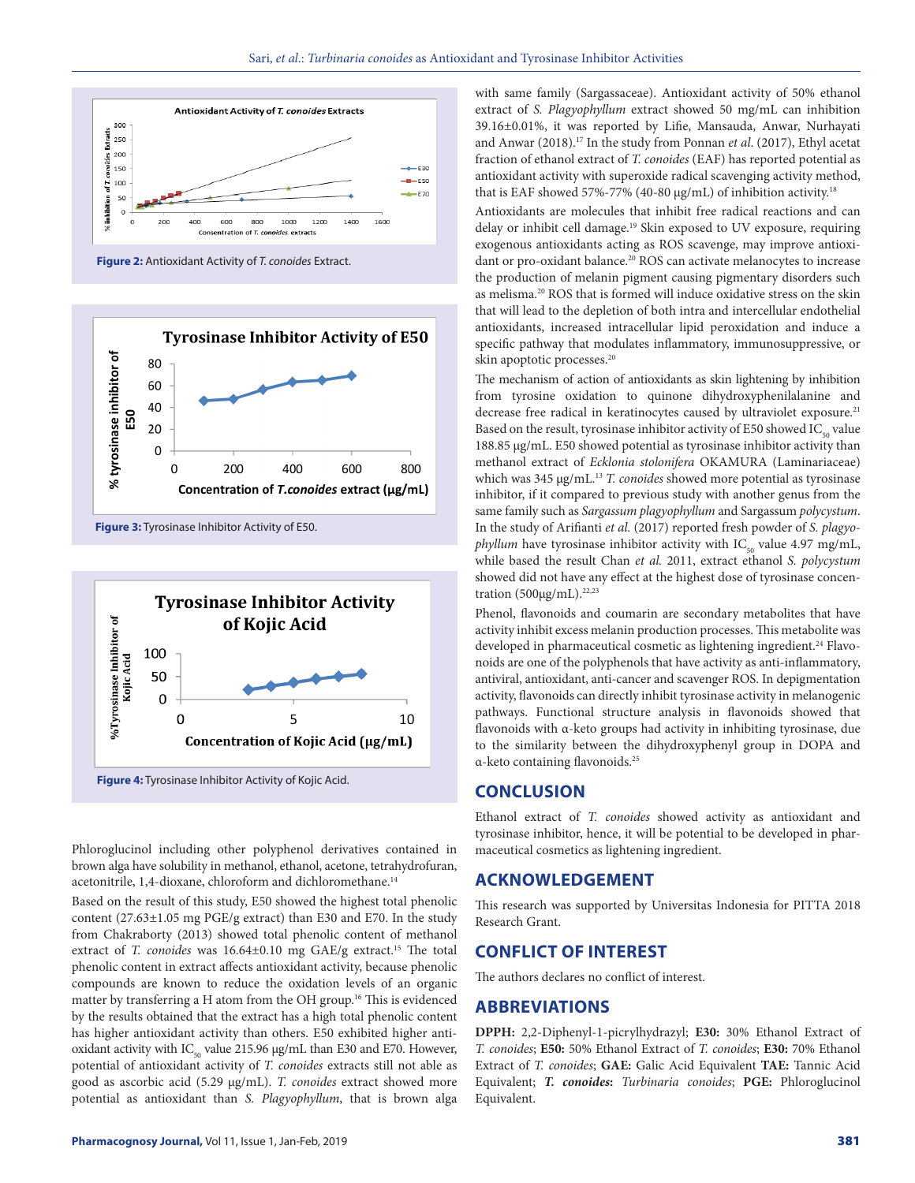

**Figure 2:** Antioxidant Activity of *T. conoides* Extract.



**Figure 3:** Tyrosinase Inhibitor Activity of E50.



**Figure 4:** Tyrosinase Inhibitor Activity of Kojic Acid.

Phloroglucinol including other polyphenol derivatives contained in brown alga have solubility in methanol, ethanol, acetone, tetrahydrofuran, acetonitrile, 1,4-dioxane, chloroform and dichloromethane.<sup>14</sup>

Based on the result of this study, E50 showed the highest total phenolic content (27.63±1.05 mg PGE/g extract) than E30 and E70. In the study from Chakraborty (2013) showed total phenolic content of methanol extract of *T. conoides* was 16.64±0.10 mg GAE/g extract.<sup>15</sup> The total phenolic content in extract affects antioxidant activity, because phenolic compounds are known to reduce the oxidation levels of an organic matter by transferring a H atom from the OH group.<sup>16</sup> This is evidenced by the results obtained that the extract has a high total phenolic content has higher antioxidant activity than others. E50 exhibited higher antioxidant activity with  $IC_{50}$  value 215.96  $\mu$ g/mL than E30 and E70. However, potential of antioxidant activity of *T. conoides* extracts still not able as good as ascorbic acid (5.29 µg/mL). *T. conoides* extract showed more potential as antioxidant than *S. Plagyophyllum*, that is brown alga with same family (Sargassaceae). Antioxidant activity of 50% ethanol extract of *S. Plagyophyllum* extract showed 50 mg/mL can inhibition 39.16±0.01%, it was reported by Lifie, Mansauda, Anwar, Nurhayati and Anwar (2018).17 In the study from Ponnan *et al*. (2017), Ethyl acetat fraction of ethanol extract of *T. conoides* (EAF) has reported potential as antioxidant activity with superoxide radical scavenging activity method, that is EAF showed 57%-77% (40-80 µg/mL) of inhibition activity.<sup>18</sup>

Antioxidants are molecules that inhibit free radical reactions and can delay or inhibit cell damage.19 Skin exposed to UV exposure, requiring exogenous antioxidants acting as ROS scavenge, may improve antioxidant or pro-oxidant balance.<sup>20</sup> ROS can activate melanocytes to increase the production of melanin pigment causing pigmentary disorders such as melisma.20 ROS that is formed will induce oxidative stress on the skin that will lead to the depletion of both intra and intercellular endothelial antioxidants, increased intracellular lipid peroxidation and induce a specific pathway that modulates inflammatory, immunosuppressive, or skin apoptotic processes.<sup>20</sup>

The mechanism of action of antioxidants as skin lightening by inhibition from tyrosine oxidation to quinone dihydroxyphenilalanine and decrease free radical in keratinocytes caused by ultraviolet exposure.<sup>21</sup> Based on the result, tyrosinase inhibitor activity of E50 showed  $IC_{50}$  value 188.85 µg/mL. E50 showed potential as tyrosinase inhibitor activity than methanol extract of *Ecklonia stolonifera* OKAMURA (Laminariaceae) which was 345 µg/mL.<sup>13</sup> *T. conoides* showed more potential as tyrosinase inhibitor, if it compared to previous study with another genus from the same family such as *Sargassum plagyophyllum* and Sargassum *polycystum*. In the study of Arifianti *et al.* (2017) reported fresh powder of *S. plagyophyllum* have tyrosinase inhibitor activity with IC<sub>50</sub> value 4.97 mg/mL, while based the result Chan *et al.* 2011, extract ethanol *S. polycystum* showed did not have any effect at the highest dose of tyrosinase concentration  $(500\mu g/mL)$ .<sup>22,23</sup>

Phenol, flavonoids and coumarin are secondary metabolites that have activity inhibit excess melanin production processes. This metabolite was developed in pharmaceutical cosmetic as lightening ingredient.<sup>24</sup> Flavonoids are one of the polyphenols that have activity as anti-inflammatory, antiviral, antioxidant, anti-cancer and scavenger ROS. In depigmentation activity, flavonoids can directly inhibit tyrosinase activity in melanogenic pathways. Functional structure analysis in flavonoids showed that flavonoids with α-keto groups had activity in inhibiting tyrosinase, due to the similarity between the dihydroxyphenyl group in DOPA and α-keto containing flavonoids.25

# **CONCLUSION**

Ethanol extract of *T. conoides* showed activity as antioxidant and tyrosinase inhibitor, hence, it will be potential to be developed in pharmaceutical cosmetics as lightening ingredient.

# **ACKNOWLEDGEMENT**

This research was supported by Universitas Indonesia for PITTA 2018 Research Grant.

# **CONFLICT OF INTEREST**

The authors declares no conflict of interest.

# **ABBREVIATIONS**

**DPPH:** 2,2-Diphenyl-1-picrylhydrazyl; **E30:** 30% Ethanol Extract of *T. conoides*; **E50:** 50% Ethanol Extract of *T. conoides*; **E30:** 70% Ethanol Extract of *T. conoides*; **GAE:** Galic Acid Equivalent **TAE:** Tannic Acid Equivalent; *T. conoides***:** *Turbinaria conoides*; **PGE:** Phloroglucinol Equivalent.